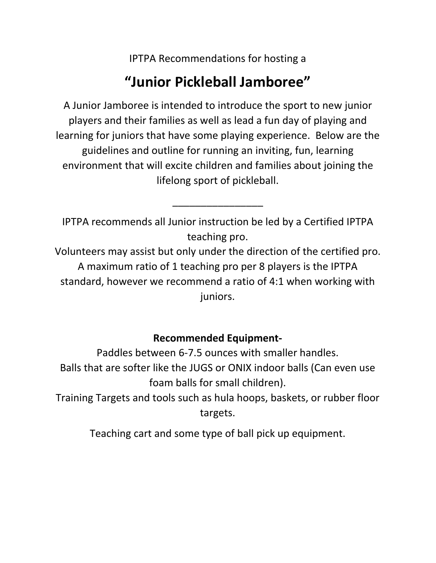IPTPA Recommendations for hosting a

## **"Junior Pickleball Jamboree"**

A Junior Jamboree is intended to introduce the sport to new junior players and their families as well as lead a fun day of playing and learning for juniors that have some playing experience. Below are the guidelines and outline for running an inviting, fun, learning environment that will excite children and families about joining the lifelong sport of pickleball.

IPTPA recommends all Junior instruction be led by a Certified IPTPA teaching pro.

\_\_\_\_\_\_\_\_\_\_\_\_\_\_\_\_

Volunteers may assist but only under the direction of the certified pro. A maximum ratio of 1 teaching pro per 8 players is the IPTPA standard, however we recommend a ratio of 4:1 when working with juniors.

## **Recommended Equipment-**

Paddles between 6-7.5 ounces with smaller handles. Balls that are softer like the JUGS or ONIX indoor balls (Can even use foam balls for small children).

Training Targets and tools such as hula hoops, baskets, or rubber floor targets.

Teaching cart and some type of ball pick up equipment.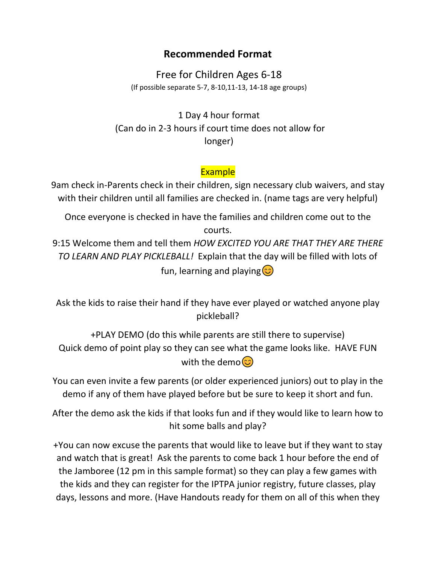## **Recommended Format**

Free for Children Ages 6-18 (If possible separate 5-7, 8-10,11-13, 14-18 age groups)

1 Day 4 hour format (Can do in 2-3 hours if court time does not allow for longer)

## **Example**

9am check in-Parents check in their children, sign necessary club waivers, and stay with their children until all families are checked in. (name tags are very helpful)

Once everyone is checked in have the families and children come out to the courts.

9:15 Welcome them and tell them *HOW EXCITED YOU ARE THAT THEY ARE THERE TO LEARN AND PLAY PICKLEBALL!* Explain that the day will be filled with lots of fun, learning and playing $\circled{c}$ 

Ask the kids to raise their hand if they have ever played or watched anyone play pickleball?

+PLAY DEMO (do this while parents are still there to supervise) Quick demo of point play so they can see what the game looks like. HAVE FUN with the demo $\circled{c}$ 

You can even invite a few parents (or older experienced juniors) out to play in the demo if any of them have played before but be sure to keep it short and fun.

After the demo ask the kids if that looks fun and if they would like to learn how to hit some balls and play?

+You can now excuse the parents that would like to leave but if they want to stay and watch that is great! Ask the parents to come back 1 hour before the end of the Jamboree (12 pm in this sample format) so they can play a few games with the kids and they can register for the IPTPA junior registry, future classes, play days, lessons and more. (Have Handouts ready for them on all of this when they